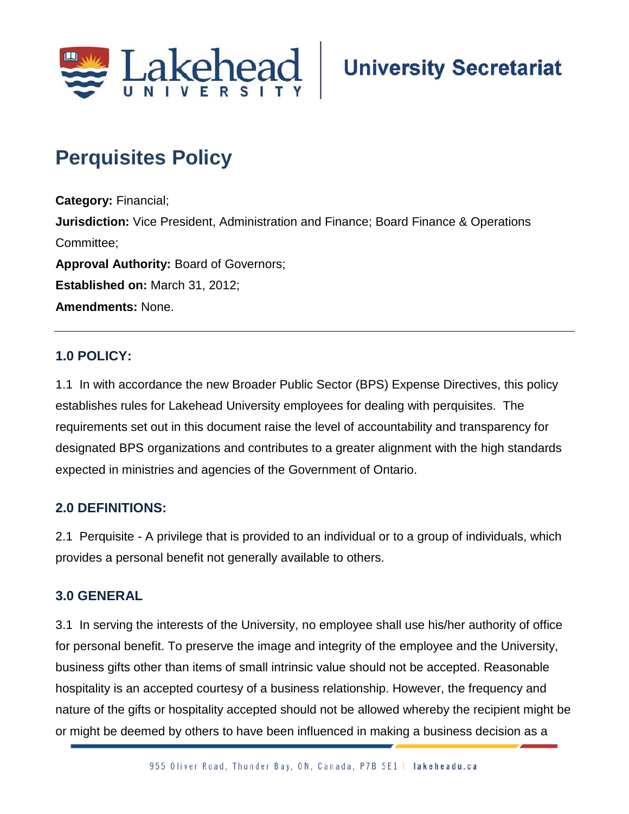

## **Perquisites Policy**

**Category:** Financial; **Jurisdiction:** Vice President, Administration and Finance; Board Finance & Operations Committee; **Approval Authority:** Board of Governors; **Established on:** March 31, 2012; **Amendments:** None.

## **1.0 POLICY:**

1.1 In with accordance the new Broader Public Sector (BPS) Expense Directives, this policy establishes rules for Lakehead University employees for dealing with perquisites. The requirements set out in this document raise the level of accountability and transparency for designated BPS organizations and contributes to a greater alignment with the high standards expected in ministries and agencies of the Government of Ontario.

## **2.0 DEFINITIONS:**

2.1 Perquisite - A privilege that is provided to an individual or to a group of individuals, which provides a personal benefit not generally available to others.

## **3.0 GENERAL**

3.1 In serving the interests of the University, no employee shall use his/her authority of office for personal benefit. To preserve the image and integrity of the employee and the University, business gifts other than items of small intrinsic value should not be accepted. Reasonable hospitality is an accepted courtesy of a business relationship. However, the frequency and nature of the gifts or hospitality accepted should not be allowed whereby the recipient might be or might be deemed by others to have been influenced in making a business decision as a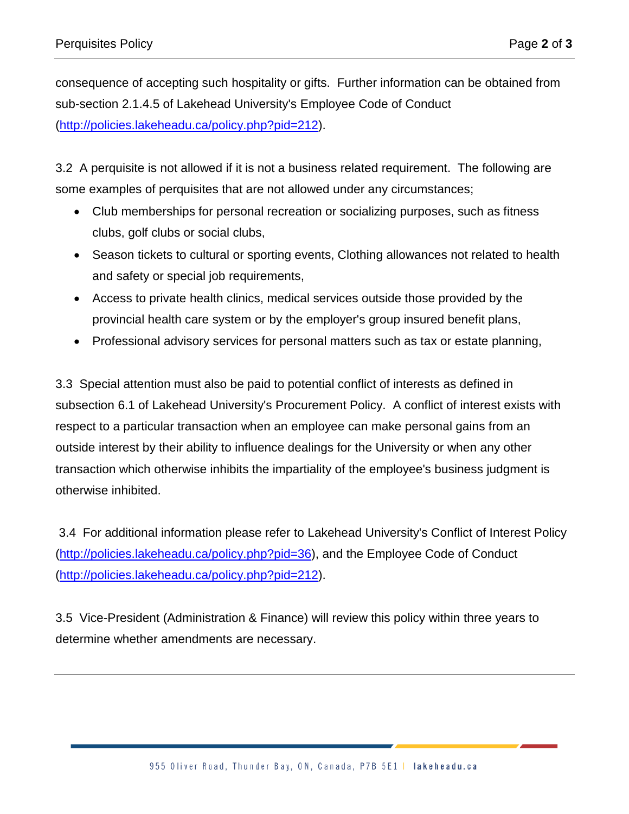consequence of accepting such hospitality or gifts. Further information can be obtained from sub-section 2.1.4.5 of Lakehead University's Employee Code of Conduct [\(http://policies.lakeheadu.ca/policy.php?pid=212\)](http://policies.lakeheadu.ca/policy.php?pid=212).

3.2 A perquisite is not allowed if it is not a business related requirement. The following are some examples of perquisites that are not allowed under any circumstances;

- Club memberships for personal recreation or socializing purposes, such as fitness clubs, golf clubs or social clubs,
- Season tickets to cultural or sporting events, Clothing allowances not related to health and safety or special job requirements,
- Access to private health clinics, medical services outside those provided by the provincial health care system or by the employer's group insured benefit plans,
- Professional advisory services for personal matters such as tax or estate planning,

3.3 Special attention must also be paid to potential conflict of interests as defined in subsection 6.1 of Lakehead University's Procurement Policy. A conflict of interest exists with respect to a particular transaction when an employee can make personal gains from an outside interest by their ability to influence dealings for the University or when any other transaction which otherwise inhibits the impartiality of the employee's business judgment is otherwise inhibited.

3.4 For additional information please refer to Lakehead University's Conflict of Interest Policy [\(http://policies.lakeheadu.ca/policy.php?pid=36\)](http://policies.lakeheadu.ca/policy.php?pid=36), and the Employee Code of Conduct [\(http://policies.lakeheadu.ca/policy.php?pid=212\)](http://policies.lakeheadu.ca/policy.php?pid=212).

3.5 Vice-President (Administration & Finance) will review this policy within three years to determine whether amendments are necessary.